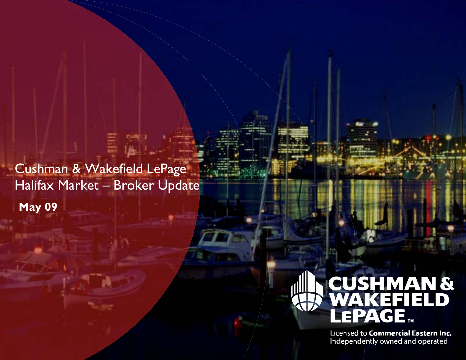Cushman & Wakefield LePage Halifax Market - Broker Update **May 09** 



Licensed to Commercial Eastern Inc. Independently owned and operated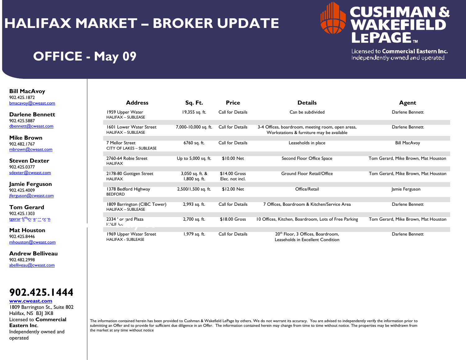## **HALIFAX MARKET – BROKER UPDATE**



### **OFFICE - May 09**

Licensed to Commercial Eastern Inc. Independently owned and operated

**Bill MacAvoy**  902.425.1872 bmacavoy@cweast.com

**Darlene Bennett**902.425.5887 dbennett@cweast.com

**Mike Brown**902.482.1767 mbrown@cweast.com

**Steven Dexter**902.425.0377 sdexter@cweast.com

**Jamie Ferguson** 902.425.4009 jferguson@cweast.com

**Tom Gerard**902.425.1303 tgerard@cweart.com

**Mat Houston**902.425.8446 mhouston@cweast.com

**Andrew Belliveau**902.482.2998 abelliveau@cweast.com



**www.cweast.com**

1809 Barrington St., Suite 802 Halifax, NS B3J 3K8 Licensed to **Commercial Eastern Inc**. Independently owned and operated

| 29.IU/Z<br>$1$ voy $@$ cweast.com                   | <b>Address</b>                                              | Sq. Ft.                            | <b>Price</b>                      | <b>Details</b>                                                                                 | Agent                               |
|-----------------------------------------------------|-------------------------------------------------------------|------------------------------------|-----------------------------------|------------------------------------------------------------------------------------------------|-------------------------------------|
| lene Bennett<br>25.5887                             | 1959 Upper Water<br><b>HALIFAX - SUBLEASE</b>               | 19,355 sq. ft.                     | Call for Details                  | Can be subdivided                                                                              | Darlene Bennett                     |
| $textmathcal{Q}$ cweast.com                         | <b>1601 Lower Water Street</b><br><b>HALIFAX - SUBLEASE</b> | 7,000-10,000 sq. ft.               | Call for Details                  | 3-4 Offices, boardroom, meeting room, open areas,<br>Workstations & furniture may be available | Darlene Bennett                     |
| e <b>Brown</b><br>82.1767<br><u>wn@cweast.com</u>   | 7 Mellor Street<br><b>CITY OF LAKES - SUBLEASE</b>          | 6760 sq. ft.                       | Call for Details                  | Leaseholds in place                                                                            | <b>Bill MacAvoy</b>                 |
| <sup>r</sup> en Dexter<br>25.0377                   | 2760-64 Robie Street<br><b>HALIFAX</b>                      | Up to 5,000 sq. ft.                | \$10.00 Net                       | Second Floor Office Space                                                                      | Tom Gerard, Mike Brown, Mat Houston |
| er@cweast.com                                       | 2178-80 Gottigen Street<br><b>HALIFAX</b>                   | 3,050 sq. ft. &<br>$1,800$ sq. ft. | $$14.00$ Gross<br>Elec. not incl. | <b>Ground Floor Retail/Office</b>                                                              | Tom Gerard, Mike Brown, Mat Houston |
| ie Ferguson<br>25.4009<br>$\mathsf{son@cweast.com}$ | 1378 Bedford Highway<br><b>BEDFORD</b>                      | 2,500/1,500 sq. ft.                | \$12.00 Net                       | Office/Retail                                                                                  | Jamie Ferguson                      |
| า Gerard                                            | 1809 Barrington (CIBC Tower)<br><b>HALIFAX - SUBLEASE</b>   | 2,993 sq. ft.                      | Call for Details                  | 7 Offices, Boardroom & Kitchen/Service Area                                                    | Darlene Bennett                     |
| 25.1303<br><u>ון האיפורי כרוז</u>                   | 2334 ' or tard Plaza<br><b>FINLIE LA</b>                    | 2,700 sq. ft.                      | \$18.00 Gross                     | 10 Offices, Kitchen, Boardroom, Lots of Free Parking                                           | Tom Gerard, Mike Brown, Mat Houston |
| <b>Houston</b><br>25.8446<br>ston@cweast.com        | 1969 Upper Water Street<br><b>HALIFAX - SUBLEASE</b>        | 1,979 sq. ft.                      | Call for Details                  | 20 <sup>th</sup> Floor, 3 Offices, Boardroom,<br>Leaseholds in Excellent Condition             | Darlene Bennett                     |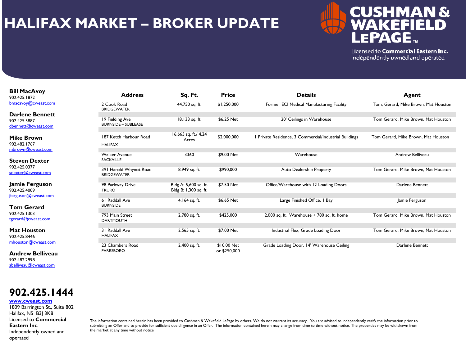## **HALIFAX MARKET – BROKER UPDATE**



Licensed to Commercial Eastern Inc. Independently owned and operated

#### **Bill MacAvoy**  902.425.1872 bmacavoy@cweast.com

**Darlene Bennett**902.425.5887 dbennett@cweast.com

**Mike Brown**902.482.1767 mbrown@cweast.com

**Steven Dexter**902.425.0377 sdexter@cweast.com

**Jamie Ferguson** 902.425.4009 jferguson@cweast.com

**Tom Gerard**902.425.1303 tgerard@cweast.com

**Mat Houston**902.425.8446 mhouston@cweast.com

**Andrew Belliveau**902.482.2998 abelliveau@cweast.com



#### **www.cweast.com**

1809 Barrington St., Suite 802 Halifax, NS B3J 3K8 Licensed to **Commercial Eastern Inc**. Independently owned and operated

| <b>Address</b>                                | Sq. Ft.                                        | <b>Price</b>                | <b>Details</b>                                         | Agent<br>Tom, Gerard, Mike Brown, Mat Houston |  |
|-----------------------------------------------|------------------------------------------------|-----------------------------|--------------------------------------------------------|-----------------------------------------------|--|
| 2 Cook Road<br><b>BRIDGEWATER</b>             | 44,750 sq. ft.                                 | \$1,250,000                 | Former ECI Medical Manufacturing Facility              |                                               |  |
| 19 Fielding Ave<br><b>BURNSIDE - SUBLEASE</b> | 18,133 sq. ft.                                 | \$6.25 Net                  | 20' Ceilings in Warehouse                              | Tom Gerard, Mike Brown, Mat Houston           |  |
| 187 Ketch Harbour Road<br><b>HALIFAX</b>      | 16,665 sq. ft./ 4.24<br>Acres                  | \$2,000,000                 | I Private Residence, 3 Commercial/Industrial Buildings | Tom Gerard, Mike Brown, Mat Houston           |  |
| <b>Walker Avenue</b><br><b>SACKVILLE</b>      | 3360                                           | \$9.00 Net                  | Warehouse                                              | Andrew Belliveau                              |  |
| 391 Harold Whynot Road<br><b>BRIDGEWATER</b>  | 8,949 sq. ft.                                  | \$990,000                   | Auto Dealership Property                               | Tom Gerard, Mike Brown, Mat Houston           |  |
| 98 Parkway Drive<br><b>TRURO</b>              | Bldg A: 5,600 sq. ft.<br>Bldg B: 1,300 sq. ft. | \$7.50 Net                  | Office/Warehouse with 12 Loading Doors                 | Darlene Bennett                               |  |
| 61 Raddall Ave<br><b>BURNSIDE</b>             | 4,164 sq. ft.                                  | \$6.65 Net                  | Large Finished Office, I Bay                           | Jamie Ferguson                                |  |
| 793 Main Street<br><b>DARTMOUTH</b>           | 2,780 sq. ft.                                  | \$425,000                   | 2,000 sq. ft. Warehouse $+ 780$ sq. ft. home           | Tom Gerard, Mike Brown, Mat Houston           |  |
| 31 Raddall Ave<br><b>HALIFAX</b>              | 2,565 sq. ft.                                  | \$7.00 Net                  | Industrial Flex, Grade Loading Door                    | Tom Gerard, Mike Brown, Mat Houston           |  |
| 23 Chambers Road<br><b>PARRSBORO</b>          | 2,400 sq. ft.                                  | \$10.00 Net<br>or \$250,000 | Grade Loading Door, 14' Warehouse Ceiling              | Darlene Bennett                               |  |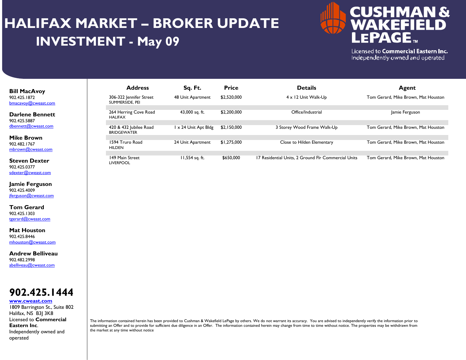# **HALIFAX MARKET – BROKER UPDATE INVESTMENT - May 09**



Licensed to Commercial Eastern Inc. Independently owned and operated

### **Bill MacAvoy**  902.425.1872 bmacavoy@cweast.com

**Darlene Bennett**902.425.5887 dbennett@cweast.com

**Mike Brown**902.482.1767 mbrown@cweast.com

**Steven Dexter**902.425.0377 sdexter@cweast.com

**Jamie Ferguson** 902.425.4009 jferguson@cweast.com

**Tom Gerard**902.425.1303 tgerard@cweast.com

**Mat Houston**902.425.8446 mhouston@cweast.com

**Andrew Belliveau**902.482.2998 abelliveau@cweast.com

### **902.425.1444**

#### **www.cweast.com**

1809 Barrington St., Suite 802 Halifax, NS B3J 3K8 Licensed to **Commercial Eastern Inc**. Independently owned and operated

| <b>Address</b>                               | Sq. Ft.            | <b>Price</b> | <b>Details</b>                                      | Agent                               |
|----------------------------------------------|--------------------|--------------|-----------------------------------------------------|-------------------------------------|
| 306-322 Jennifer Street<br>SUMMERSIDE, PEI   | 48 Unit Apartment  | \$2,520,000  | $4 \times 12$ Unit Walk-Up                          | Tom Gerard, Mike Brown, Mat Houston |
| 264 Herring Cove Road<br><b>HALIFAX</b>      | 43,000 sq. ft.     | \$2,200,000  | Office/Industrial                                   | Jamie Ferguson                      |
| 420 & 432 Jubilee Road<br><b>BRIDGEWATER</b> | x 24 Unit Apt Bldg | \$2,150,000  | 3 Storey Wood Frame Walk-Up                         | Tom Gerard, Mike Brown, Mat Houston |
| 1594 Truro Road<br><b>HILDEN</b>             | 24 Unit Apartment  | \$1,275,000  | Close to Hilden Elementary                          | Tom Gerard, Mike Brown, Mat Houston |
| 149 Main Street<br><b>LIVERPOOL</b>          | 11,554 sq. ft.     | \$650,000    | 17 Residential Units, 2 Ground Flr Commercial Units | Tom Gerard, Mike Brown, Mat Houston |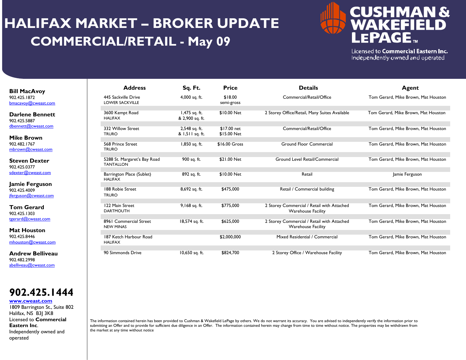# **HALIFAX MARKET – BROKER UPDATE COMMERCIAL/RETAIL - May 09**



Licensed to Commercial Eastern Inc. Independently owned and operated

| <b>Bill MacAvoy</b> |
|---------------------|
| 902.425.1872        |
| bmacavoy@cweast.com |

**Darlene Bennett**902.425.5887 dbennett@cweast.com

**Mike Brown**902.482.1767 mbrown@cweast.com

**Steven Dexter**902.425.0377 sdexter@cweast.com

**Jamie Ferguson** 902.425.4009 jferguson@cweast.com

**Tom Gerard**902.425.1303 tgerard@cweast.com

**Mat Houston**902.425.8446 mhouston@cweast.com

**Andrew Belliveau**902.482.2998 abelliveau@cweast.com

**902.425.1444**

#### **www.cweast.com**

1809 Barrington St., Suite 802 Halifax, NS B3J 3K8 Licensed to **Commercial Eastern Inc**. Independently owned and operated

| <b>Address</b>                                   | Sq. Ft.                          | <b>Price</b>               | <b>Details</b>                                                          | Agent                               |  |
|--------------------------------------------------|----------------------------------|----------------------------|-------------------------------------------------------------------------|-------------------------------------|--|
| 445 Sackville Drive<br><b>LOWER SACKVILLE</b>    | 4,000 sq. ft.                    | \$18.00<br>semi-gross      | Commercial/Retail/Office                                                | Tom Gerard, Mike Brown, Mat Houston |  |
| 3600 Kempt Road<br><b>HALIFAX</b>                | 1,475 sq. ft.<br>& 2,900 sq. ft. | \$10.00 Net                | 2 Storey Office/Retail, Many Suites Available                           | Tom Gerard, Mike Brown, Mat Houston |  |
| 332 Willow Street<br><b>TRURO</b>                | 2,548 sq. ft.<br>& 1,511 sq. ft. | \$17.00 net<br>\$15.00 Net | Commercial/Retail/Office                                                | Tom Gerard, Mike Brown, Mat Houston |  |
| 568 Prince Street<br><b>TRURO</b>                | 1,850 sq. ft.                    | \$16.00 Gross              | <b>Ground Floor Commercial</b>                                          | Tom Gerard, Mike Brown, Mat Houston |  |
| 5288 St. Margaret's Bay Road<br><b>TANTALLON</b> | 900 sq. ft.                      | \$21.00 Net                | Ground Level Retail/Commercial                                          | Tom Gerard, Mike Brown, Mat Houston |  |
| Barrington Place (Sublet)<br><b>HALIFAX</b>      | 892 sq. ft.                      | \$10.00 Net                | Retail                                                                  | Jamie Ferguson                      |  |
| 188 Robie Street<br><b>TRURO</b>                 | 8,692 sq. ft.                    | \$475,000                  | Retail / Commercial building                                            | Tom Gerard, Mike Brown, Mat Houston |  |
| 122 Main Street<br><b>DARTMOUTH</b>              | 9,168 sq. ft.                    | \$775,000                  | 2 Storey Commercial / Retail with Attached<br><b>Warehouse Facility</b> | Tom Gerard, Mike Brown, Mat Houston |  |
| 8961 Commercial Street<br><b>NEW MINAS</b>       | 18,574 sq. ft.                   | \$625,000                  | 2 Storey Commercial / Retail with Attached<br><b>Warehouse Facility</b> | Tom Gerard, Mike Brown, Mat Houston |  |
| 187 Ketch Harbour Road<br><b>HALIFAX</b>         |                                  | \$2,000,000                | Mixed Residential / Commercial                                          | Tom Gerard, Mike Brown, Mat Houston |  |
| 90 Simmonds Drive                                | 10,650 sq. ft.                   | \$824,700                  | 2 Storey Office / Warehouse Facility                                    | Tom Gerard, Mike Brown, Mat Houston |  |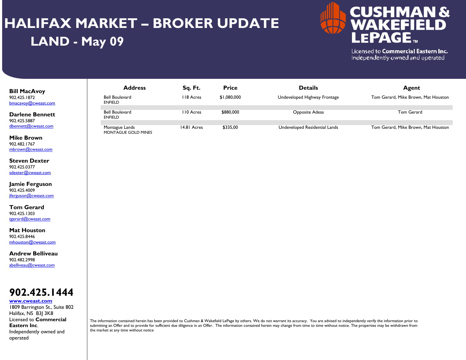# **HALIFAX MARKET – BROKER UPDATE LAND - May 09**



Licensed to Commercial Eastern Inc. Independently owned and operated

| <b>Bill MacAvoy</b><br>902.425.1872<br>bmacavoy@cweast.com | <b>Address</b><br>Bell Boulevard<br><b>ENFIELD</b> | Sq. Ft.<br>II8 Acres | <b>Price</b><br>\$1,080,000 | <b>Details</b><br>Undeveloped Highway Frontage | Agent<br>Tom Gerard, Mike Brown, Mat Houston |
|------------------------------------------------------------|----------------------------------------------------|----------------------|-----------------------------|------------------------------------------------|----------------------------------------------|
| <b>Darlene Bennett</b>                                     | <b>Bell Boulevard</b><br><b>ENFIELD</b>            | I I0 Acres           | \$880,000                   | Opposite Adesa                                 | Tom Gerard                                   |
| 902.425.5887<br>dbennett@cweast.com                        | Montague Lands<br>MONTAGUE GOLD MINES              | 14.81 Acres          | \$335,00                    | Undeveloped Residential Lands                  | Tom Gerard, Mike Brown, Mat Houston          |

**Mike Brown**902.482.1767 mbrown@cweast.com

**Steven Dexter**902.425.0377 sdexter@cweast.com

**Jamie Ferguson** 902.425.4009 jferguson@cweast.com

**Tom Gerard**902.425.1303 tgerard@cweast.com

**Mat Houston**902.425.8446 mhouston@cweast.com

**Andrew Belliveau**902.482.2998 abelliveau@cweast.com



#### **www.cweast.com**

1809 Barrington St., Suite 802 Halifax, NS B3J 3K8 Licensed to **Commercial Eastern Inc**. Independently owned and operated